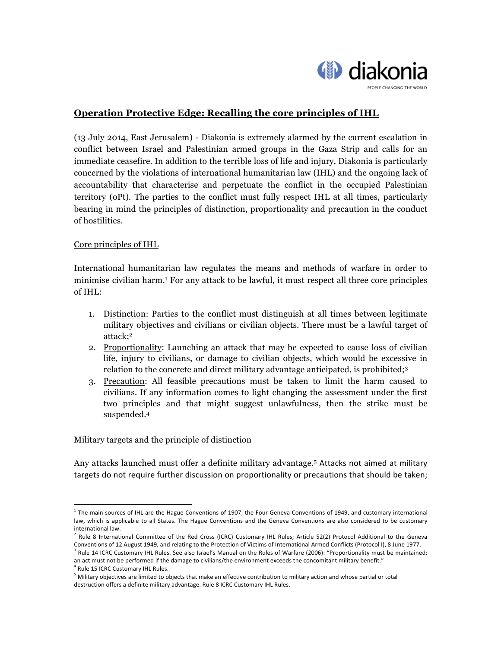

# **Operation Protective Edge: Recalling the core principles of IHL**

(13 July 2014, East Jerusalem) - Diakonia is extremely alarmed by the current escalation in conflict between Israel and Palestinian armed groups in the Gaza Strip and calls for an immediate ceasefire. In addition to the terrible loss of life and injury, Diakonia is particularly concerned by the violations of international humanitarian law (IHL) and the ongoing lack of accountability that characterise and perpetuate the conflict in the occupied Palestinian territory (oPt). The parties to the conflict must fully respect IHL at all times, particularly bearing in mind the principles of distinction, proportionality and precaution in the conduct of hostilities.

# Core principles of IHL

International humanitarian law regulates the means and methods of warfare in order to minimise civilian harm.1 For any attack to be lawful, it must respect all three core principles of IHL:

- 1. Distinction: Parties to the conflict must distinguish at all times between legitimate military objectives and civilians or civilian objects. There must be a lawful target of attack;2
- 2. Proportionality: Launching an attack that may be expected to cause loss of civilian life, injury to civilians, or damage to civilian objects, which would be excessive in relation to the concrete and direct military advantage anticipated, is prohibited;3
- 3. Precaution: All feasible precautions must be taken to limit the harm caused to civilians. If any information comes to light changing the assessment under the first two principles and that might suggest unlawfulness, then the strike must be suspended. 4

# Military targets and the principle of distinction

Any attacks launched must offer a definite military advantage.<sup>5</sup> Attacks not aimed at military targets do not require further discussion on proportionality or precautions that should be taken;

<u> 1989 - Jan Samuel Barbara, margaret e</u>

 $1$  The main sources of IHL are the Hague Conventions of 1907, the Four Geneva Conventions of 1949, and customary international law, which is applicable to all States. The Hague Conventions and the Geneva Conventions are also considered to be customary international law

 $2$  Rule 8 International Committee of the Red Cross (ICRC) Customary IHL Rules; Article 52(2) Protocol Additional to the Geneva Conventions of 12 August 1949, and relating to the Protection of Victims of International Armed Conflicts (Protocol I), 8 June 1977. Rule 14 ICRC Customary IHL Rules. See also Israel's Manual on the Rules of Warfare (2006): "Proportionality must be maintained:

an act must not be performed if the damage to civilians/the environment exceeds the concomitant military benefit."

Rule 15 ICRC Customary IHL Rules.

 $<sup>5</sup>$  Military objectives are limited to objects that make an effective contribution to military action and whose partial or total</sup> destruction offers a definite military advantage. Rule 8 ICRC Customary IHL Rules.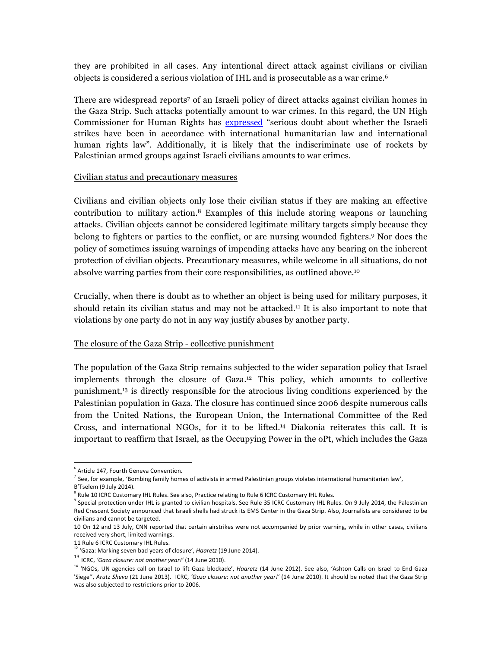they are prohibited in all cases. Any intentional direct attack against civilians or civilian objects is considered a serious violation of IHL and is prosecutable as a war crime. 6

There are widespread reports7 of an Israeli policy of direct attacks against civilian homes in the Gaza Strip. Such attacks potentially amount to war crimes. In this regard, the UN High Commissioner for Human Rights has expressed "serious doubt about whether the Israeli strikes have been in accordance with international humanitarian law and international human rights law". Additionally, it is likely that the indiscriminate use of rockets by Palestinian armed groups against Israeli civilians amounts to war crimes.

#### Civilian status and precautionary measures

Civilians and civilian objects only lose their civilian status if they are making an effective contribution to military action.8 Examples of this include storing weapons or launching attacks. Civilian objects cannot be considered legitimate military targets simply because they belong to fighters or parties to the conflict, or are nursing wounded fighters. <sup>9</sup> Nor does the policy of sometimes issuing warnings of impending attacks have any bearing on the inherent protection of civilian objects. Precautionary measures, while welcome in all situations, do not absolve warring parties from their core responsibilities, as outlined above.10

Crucially, when there is doubt as to whether an object is being used for military purposes, it should retain its civilian status and may not be attacked. <sup>11</sup> It is also important to note that violations by one party do not in any way justify abuses by another party.

# The closure of the Gaza Strip - collective punishment

The population of the Gaza Strip remains subjected to the wider separation policy that Israel implements through the closure of Gaza.12 This policy, which amounts to collective punishment,13 is directly responsible for the atrocious living conditions experienced by the Palestinian population in Gaza. The closure has continued since 2006 despite numerous calls from the United Nations, the European Union, the International Committee of the Red Cross, and international NGOs, for it to be lifted.14 Diakonia reiterates this call. It is important to reaffirm that Israel, as the Occupying Power in the oPt, which includes the Gaza

  $<sup>6</sup>$  Article 147, Fourth Geneva Convention.</sup>

 $^7$  See, for example, 'Bombing family homes of activists in armed Palestinian groups violates international humanitarian law', B'Tselem (9 July 2014).

 $8$  Rule 10 ICRC Customary IHL Rules. See also, Practice relating to Rule 6 ICRC Customary IHL Rules.

 $9$  Special protection under IHL is granted to civilian hospitals. See Rule 35 ICRC Customary IHL Rules. On 9 July 2014, the Palestinian Red Crescent Society announced that Israeli shells had struck its EMS Center in the Gaza Strip. Also, Journalists are considered to be civilians and cannot be targeted.

<sup>10</sup> On 12 and 13 July, CNN reported that certain airstrikes were not accompanied by prior warning, while in other cases, civilians received very short, limited warnings.

<sup>11</sup> Rule 6 ICRC Customary IHL Rules.<br><sup>12</sup> 'Gaza: Marking seven bad years of closure', *Haaretz* (19 June 2014).

<sup>&</sup>lt;sup>13</sup> ICRC, 'Gaza closure: not another year!' (14 June 2010).

<sup>&</sup>lt;sup>14</sup> 'NGOs, UN agencies call on Israel to lift Gaza blockade', *Haaretz* (14 June 2012). See also, 'Ashton Calls on Israel to End Gaza 'Siege", Arutz Sheva (21 June 2013). ICRC, 'Gaza closure: not another year!' (14 June 2010). It should be noted that the Gaza Strip was also subjected to restrictions prior to 2006.